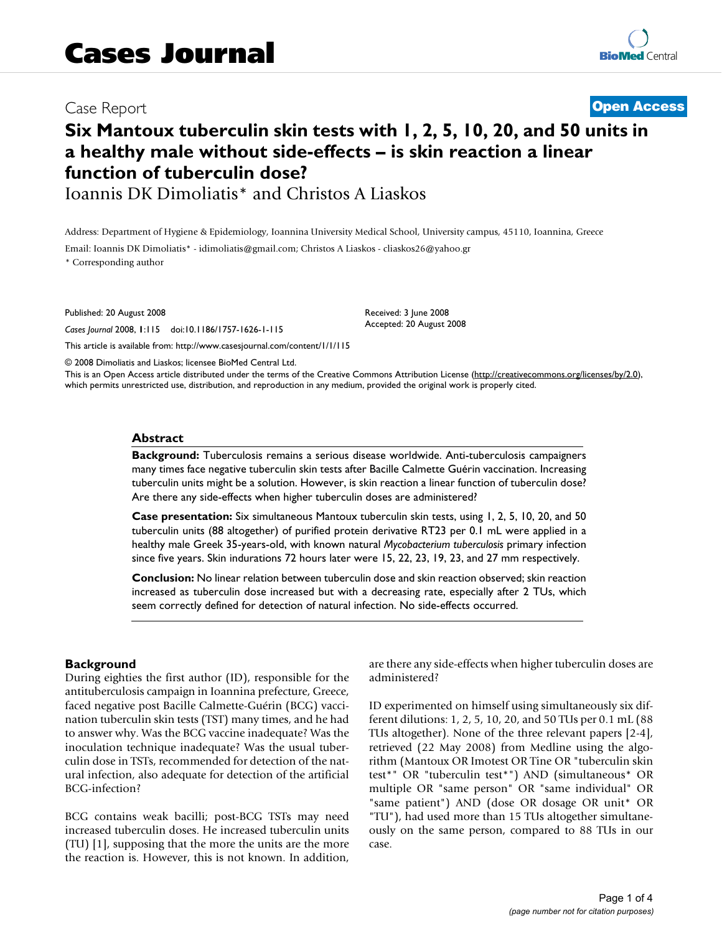# Case Report **[Open Access](http://www.biomedcentral.com/info/about/charter/)**

# **Six Mantoux tuberculin skin tests with 1, 2, 5, 10, 20, and 50 units in a healthy male without side-effects – is skin reaction a linear function of tuberculin dose?**

Ioannis DK Dimoliatis\* and Christos A Liaskos

Address: Department of Hygiene & Epidemiology, Ioannina University Medical School, University campus, 45110, Ioannina, Greece

Email: Ioannis DK Dimoliatis\* - idimoliatis@gmail.com; Christos A Liaskos - cliaskos26@yahoo.gr \* Corresponding author

Published: 20 August 2008

*Cases Journal* 2008, **1**:115 doi:10.1186/1757-1626-1-115

[This article is available from: http://www.casesjournal.com/content/1/1/115](http://www.casesjournal.com/content/1/1/115)

© 2008 Dimoliatis and Liaskos; licensee BioMed Central Ltd.

This is an Open Access article distributed under the terms of the Creative Commons Attribution License [\(http://creativecommons.org/licenses/by/2.0\)](http://creativecommons.org/licenses/by/2.0), which permits unrestricted use, distribution, and reproduction in any medium, provided the original work is properly cited.

Received: 3 June 2008 Accepted: 20 August 2008

#### **Abstract**

**Background:** Tuberculosis remains a serious disease worldwide. Anti-tuberculosis campaigners many times face negative tuberculin skin tests after Bacille Calmette Guérin vaccination. Increasing tuberculin units might be a solution. However, is skin reaction a linear function of tuberculin dose? Are there any side-effects when higher tuberculin doses are administered?

**Case presentation:** Six simultaneous Mantoux tuberculin skin tests, using 1, 2, 5, 10, 20, and 50 tuberculin units (88 altogether) of purified protein derivative RT23 per 0.1 mL were applied in a healthy male Greek 35-years-old, with known natural *Mycobacterium tuberculosis* primary infection since five years. Skin indurations 72 hours later were 15, 22, 23, 19, 23, and 27 mm respectively.

**Conclusion:** No linear relation between tuberculin dose and skin reaction observed; skin reaction increased as tuberculin dose increased but with a decreasing rate, especially after 2 TUs, which seem correctly defined for detection of natural infection. No side-effects occurred.

#### **Background**

During eighties the first author (ID), responsible for the antituberculosis campaign in Ioannina prefecture, Greece, faced negative post Bacille Calmette-Guérin (BCG) vaccination tuberculin skin tests (TST) many times, and he had to answer why. Was the BCG vaccine inadequate? Was the inoculation technique inadequate? Was the usual tuberculin dose in TSTs, recommended for detection of the natural infection, also adequate for detection of the artificial BCG-infection?

BCG contains weak bacilli; post-BCG TSTs may need increased tuberculin doses. He increased tuberculin units (TU) [1], supposing that the more the units are the more the reaction is. However, this is not known. In addition, are there any side-effects when higher tuberculin doses are administered?

ID experimented on himself using simultaneously six different dilutions: 1, 2, 5, 10, 20, and 50 TUs per 0.1 mL (88 TUs altogether). None of the three relevant papers [2-4], retrieved (22 May 2008) from Medline using the algorithm (Mantoux OR Imotest OR Tine OR "tuberculin skin test\*" OR "tuberculin test\*") AND (simultaneous\* OR multiple OR "same person" OR "same individual" OR "same patient") AND (dose OR dosage OR unit\* OR "TU"), had used more than 15 TUs altogether simultaneously on the same person, compared to 88 TUs in our case.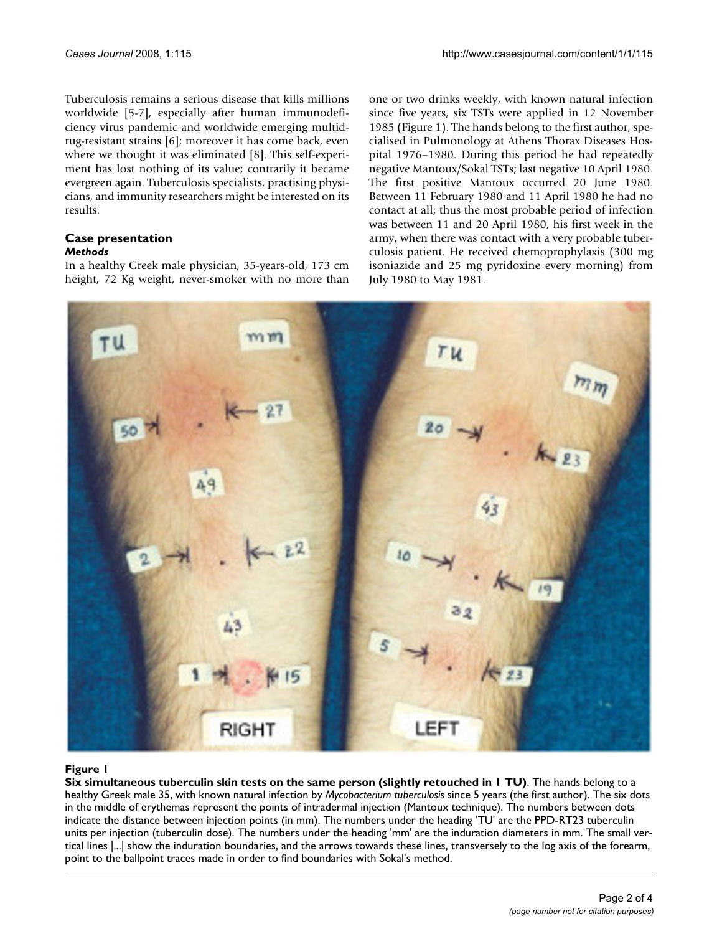Tuberculosis remains a serious disease that kills millions worldwide [5-7], especially after human immunodeficiency virus pandemic and worldwide emerging multidrug-resistant strains [6]; moreover it has come back, even where we thought it was eliminated [8]. This self-experiment has lost nothing of its value; contrarily it became evergreen again. Tuberculosis specialists, practising physicians, and immunity researchers might be interested on its results.

#### **Case presentation** *Methods*

In a healthy Greek male physician, 35-years-old, 173 cm height, 72 Kg weight, never-smoker with no more than one or two drinks weekly, with known natural infection since five years, six TSTs were applied in 12 November 1985 (Figure 1). The hands belong to the first author, specialised in Pulmonology at Athens Thorax Diseases Hospital 1976–1980. During this period he had repeatedly negative Mantoux/Sokal TSTs; last negative 10 April 1980. The first positive Mantoux occurred 20 June 1980. Between 11 February 1980 and 11 April 1980 he had no contact at all; thus the most probable period of infection was between 11 and 20 April 1980, his first week in the army, when there was contact with a very probable tuberculosis patient. He received chemoprophylaxis (300 mg isoniazide and 25 mg pyridoxine every morning) from July 1980 to May 1981.



# Six simultaneous tuberculin skin tests on th **Figure 1** e same person (slightly retouched in 1 TU)

**Six simultaneous tuberculin skin tests on the same person (slightly retouched in 1 TU)**. The hands belong to a healthy Greek male 35, with known natural infection by *Mycobacterium tuberculosis* since 5 years (the first author). The six dots in the middle of erythemas represent the points of intradermal injection (Mantoux technique). The numbers between dots indicate the distance between injection points (in mm). The numbers under the heading 'TU' are the PPD-RT23 tuberculin units per injection (tuberculin dose). The numbers under the heading 'mm' are the induration diameters in mm. The small vertical lines |...| show the induration boundaries, and the arrows towards these lines, transversely to the log axis of the forearm, point to the ballpoint traces made in order to find boundaries with Sokal's method.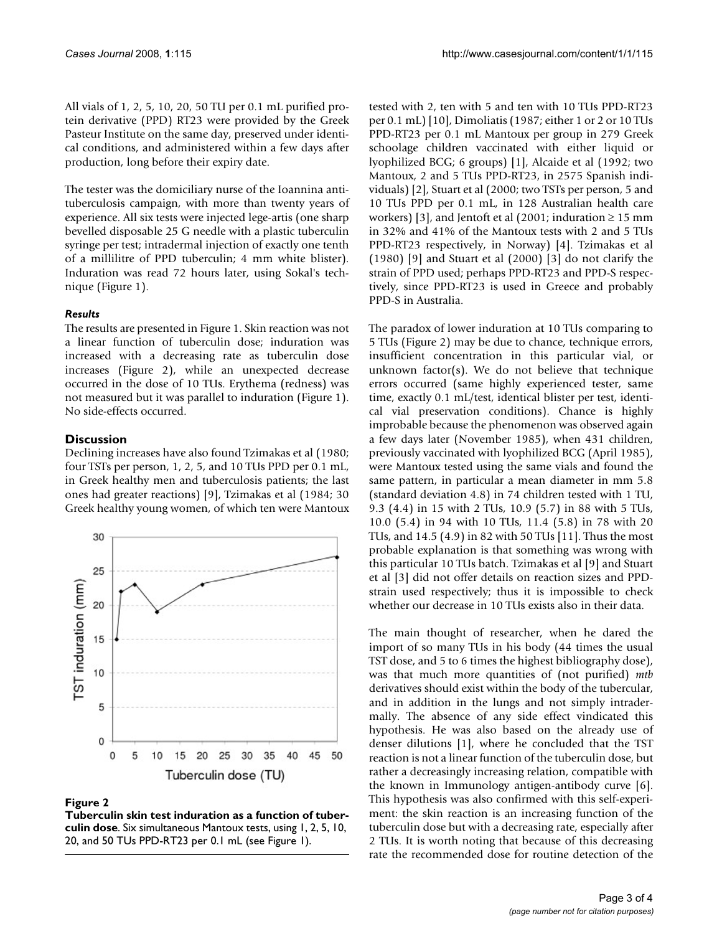All vials of 1, 2, 5, 10, 20, 50 TU per 0.1 mL purified protein derivative (PPD) RT23 were provided by the Greek Pasteur Institute on the same day, preserved under identical conditions, and administered within a few days after production, long before their expiry date.

The tester was the domiciliary nurse of the Ioannina antituberculosis campaign, with more than twenty years of experience. All six tests were injected lege-artis (one sharp bevelled disposable 25 G needle with a plastic tuberculin syringe per test; intradermal injection of exactly one tenth of a millilitre of PPD tuberculin; 4 mm white blister). Induration was read 72 hours later, using Sokal's technique (Figure 1).

### *Results*

The results are presented in Figure 1. Skin reaction was not a linear function of tuberculin dose; induration was increased with a decreasing rate as tuberculin dose increases (Figure 2), while an unexpected decrease occurred in the dose of 10 TUs. Erythema (redness) was not measured but it was parallel to induration (Figure 1). No side-effects occurred.

# **Discussion**

Declining increases have also found Tzimakas et al (1980; four TSTs per person, 1, 2, 5, and 10 TUs PPD per 0.1 mL, in Greek healthy men and tuberculosis patients; the last ones had greater reactions) [9], Tzimakas et al (1984; 30 Greek healthy young women, of which ten were Mantoux



#### Figure 2

**Tuberculin skin test induration as a function of tuberculin dose**. Six simultaneous Mantoux tests, using 1, 2, 5, 10, 20, and 50 TUs PPD-RT23 per 0.1 mL (see Figure 1).

tested with 2, ten with 5 and ten with 10 TUs PPD-RT23 per 0.1 mL) [10], Dimoliatis (1987; either 1 or 2 or 10 TUs PPD-RT23 per 0.1 mL Mantoux per group in 279 Greek schoolage children vaccinated with either liquid or lyophilized BCG; 6 groups) [1], Alcaide et al (1992; two Mantoux, 2 and 5 TUs PPD-RT23, in 2575 Spanish individuals) [2], Stuart et al (2000; two TSTs per person, 5 and 10 TUs PPD per 0.1 mL, in 128 Australian health care workers) [3], and Jentoft et al (2001; induration  $\geq 15$  mm in 32% and 41% of the Mantoux tests with 2 and 5 TUs PPD-RT23 respectively, in Norway) [4]. Tzimakas et al (1980) [9] and Stuart et al (2000) [3] do not clarify the strain of PPD used; perhaps PPD-RT23 and PPD-S respectively, since PPD-RT23 is used in Greece and probably PPD-S in Australia.

The paradox of lower induration at 10 TUs comparing to 5 TUs (Figure 2) may be due to chance, technique errors, insufficient concentration in this particular vial, or unknown factor(s). We do not believe that technique errors occurred (same highly experienced tester, same time, exactly 0.1 mL/test, identical blister per test, identical vial preservation conditions). Chance is highly improbable because the phenomenon was observed again a few days later (November 1985), when 431 children, previously vaccinated with lyophilized BCG (April 1985), were Mantoux tested using the same vials and found the same pattern, in particular a mean diameter in mm 5.8 (standard deviation 4.8) in 74 children tested with 1 TU, 9.3 (4.4) in 15 with 2 TUs, 10.9 (5.7) in 88 with 5 TUs, 10.0 (5.4) in 94 with 10 TUs, 11.4 (5.8) in 78 with 20 TUs, and 14.5 (4.9) in 82 with 50 TUs [11]. Thus the most probable explanation is that something was wrong with this particular 10 TUs batch. Tzimakas et al [9] and Stuart et al [3] did not offer details on reaction sizes and PPDstrain used respectively; thus it is impossible to check whether our decrease in 10 TUs exists also in their data.

The main thought of researcher, when he dared the import of so many TUs in his body (44 times the usual TST dose, and 5 to 6 times the highest bibliography dose), was that much more quantities of (not purified) *mtb* derivatives should exist within the body of the tubercular, and in addition in the lungs and not simply intradermally. The absence of any side effect vindicated this hypothesis. He was also based on the already use of denser dilutions [1], where he concluded that the TST reaction is not a linear function of the tuberculin dose, but rather a decreasingly increasing relation, compatible with the known in Immunology antigen-antibody curve [6]. This hypothesis was also confirmed with this self-experiment: the skin reaction is an increasing function of the tuberculin dose but with a decreasing rate, especially after 2 TUs. It is worth noting that because of this decreasing rate the recommended dose for routine detection of the